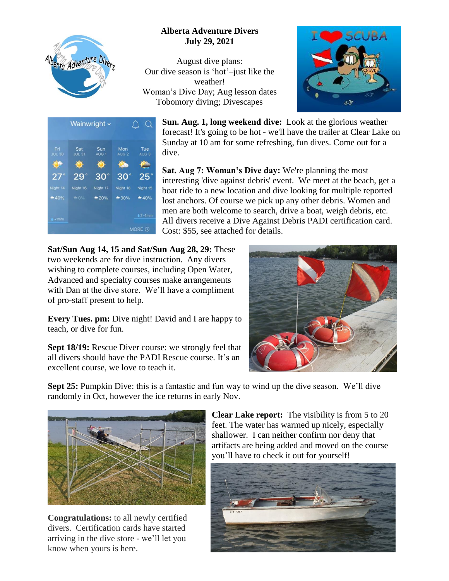

## **Alberta Adventure Divers July 29, 2021**

August dive plans: Our dive season is 'hot'–just like the weather! Woman's Dive Day; Aug lesson dates Tobomory diving; Divescapes





**Sun. Aug. 1, long weekend dive:** Look at the glorious weather forecast! It's going to be hot - we'll have the trailer at Clear Lake on Sunday at 10 am for some refreshing, fun dives. Come out for a dive.

**Sat. Aug 7: Woman's Dive day:** We're planning the most interesting 'dive against debris' event. We meet at the beach, get a boat ride to a new location and dive looking for multiple reported lost anchors. Of course we pick up any other debris. Women and men are both welcome to search, drive a boat, weigh debris, etc. All divers receive a Dive Against Debris PADI certification card. Cost: \$55, see attached for details.

**Sat/Sun Aug 14, 15 and Sat/Sun Aug 28, 29:** These two weekends are for dive instruction. Any divers wishing to complete courses, including Open Water, Advanced and specialty courses make arrangements with Dan at the dive store. We'll have a compliment of pro-staff present to help.

**Every Tues. pm:** Dive night! David and I are happy to teach, or dive for fun.

**Sept 18/19:** Rescue Diver course: we strongly feel that all divers should have the PADI Rescue course. It's an excellent course, we love to teach it.



**Sept 25:** Pumpkin Dive: this is a fantastic and fun way to wind up the dive season. We'll dive randomly in Oct, however the ice returns in early Nov.



**Congratulations:** to all newly certified divers. Certification cards have started arriving in the dive store - we'll let you know when yours is here.

**Clear Lake report:** The visibility is from 5 to 20 feet. The water has warmed up nicely, especially shallower. I can neither confirm nor deny that artifacts are being added and moved on the course – you'll have to check it out for yourself!